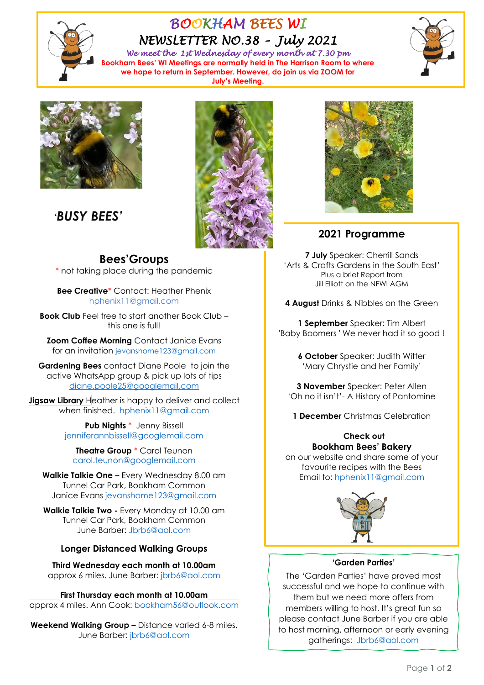

# *BOOKHAM BEES WI NEWSLETTER NO.38 – July 2021*

*We meet the 1st Wednesday of every month at 7.30 pm*  **Bookham Bees' WI Meetings are normally held in The Harrison Room to where we hope to return in September. However, do join us via ZOOM for July's Meeting.**





*'BUSY BEES'*



\* not taking place during the pandemic

**Bee Creative**\* Contact: Heather Phenix [hphenix11@gmail.com](mailto:hphenix11@gmail.com)

**Book Club** Feel free to start another Book Club – this one is full!

**Zoom Coffee Morning** Contact Janice Evans for an invitation [jevanshome123@gmail.com](mailto:jevanshome123@gmail.com)

**Gardening Bees** contact Diane Poole to join the active WhatsApp group & pick up lots of tips [diane.poole25@googlemail.com](mailto:diane.poole25@googlemail.com)

**Jigsaw Library** Heather is happy to deliver and collect when finished. [hphenix11@gmail.com](mailto:hphenix11@gmail.com)

> **Pub Nights** \* Jenny Bissell [jenniferannbissell@googlemail.com](mailto:jenniferannbissell@googlemail.com)

**Theatre Group** \* Carol Teunon [carol.teunon@googlemail.com](mailto:carol.teunon@googlemail.com)

**Walkie Talkie One –** Every Wednesday 8.00 am Tunnel Car Park, Bookham Common Janice Evans [jevanshome123@gmail.com](mailto:jevanshome123@gmail.com)

**Walkie Talkie Two -** Every Monday at 10.00 am Tunnel Car Park, Bookham Common June Barber: [Jbrb6@aol.com](mailto:Jbrb6@aol.com)

#### **Longer Distanced Walking Groups**

**Third Wednesday each month at 10.00am** approx 6 miles. June Barber: [jbrb6@aol.com](mailto:jbrb6@aol.com)

**First Thursday each month at 10.00am**  approx 4 miles. Ann Cook: [bookham56@outlook.com](mailto:bookham56@outlook.com)

**Weekend Walking Group –** Distance varied 6-8 miles. June Barber: [jbrb6@aol.com](mailto:jbrb6@aol.com)





## **2021 Programme**

**7 July** Speaker: Cherrill Sands 'Arts & Crafts Gardens in the South East' Plus a brief Report from Jill Elliott on the NFWI AGM

**4 August** Drinks & Nibbles on the Green

**1 September** Speaker: Tim Albert 'Baby Boomers ' We never had it so good !

> **6 October** Speaker: Judith Witter 'Mary Chrystie and her Family'

**3 November** Speaker: Peter Allen 'Oh no it isn't'- A History of Pantomine

**1 December** Christmas Celebration

## **Check out Bookham Bees' Bakery**

on our website and share some of your favourite recipes with the Bees Email to: [hphenix11@gmail.com](mailto:hphenix11@gmail.com)



#### **'Garden Parties'**

The 'Garden Parties' have proved most successful and we hope to continue with them but we need more offers from members willing to host. It's great fun so please contact June Barber if you are able to host morning, afternoon or early evening gatherings: [Jbrb6@aol.com](mailto:Jbrb6@aol.com)